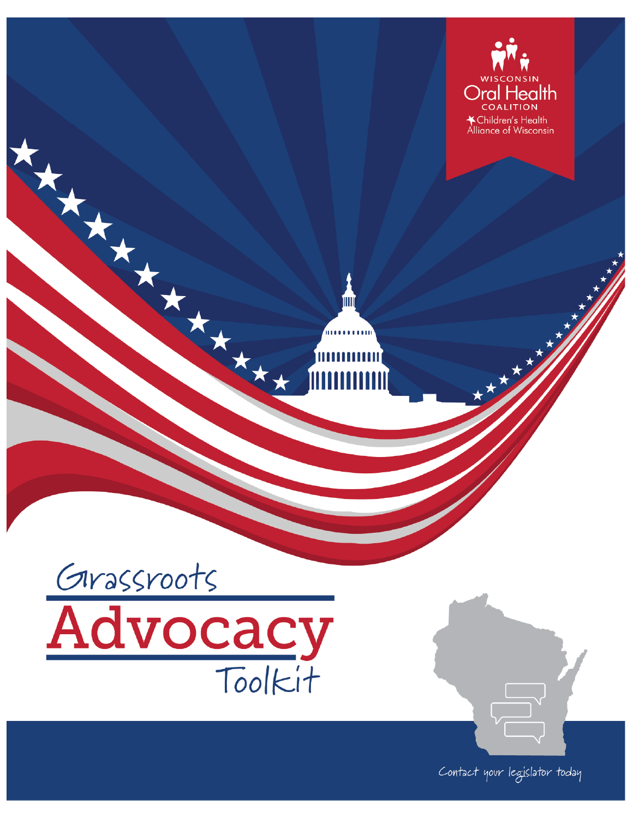



Harry Harry Harry

Contact your legislator today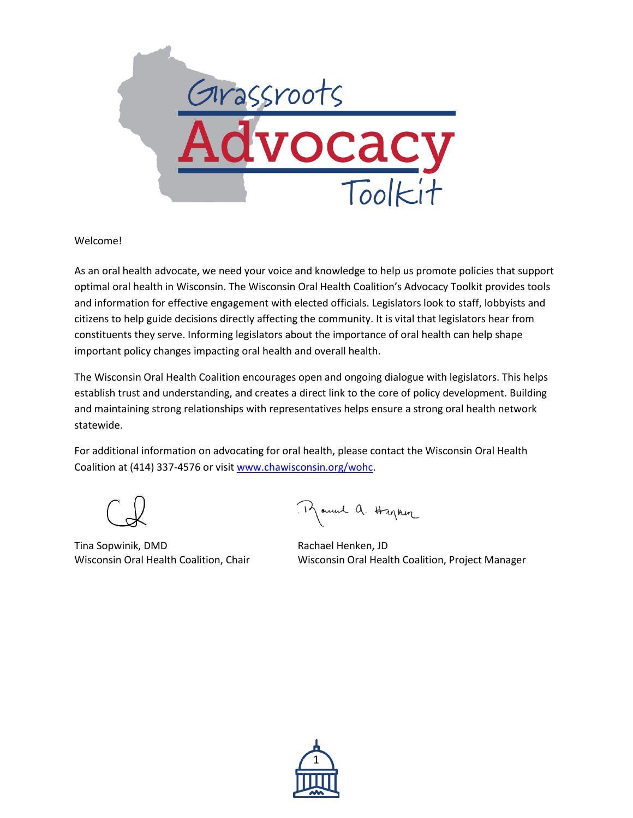

#### Welcome!

As an oral health advocate, we need your voice and knowledge to help us promote policies that support optimal oral health in Wisconsin. The Wisconsin Oral Health Coalition's Advocacy Toolkit provides tools and information for effective engagement with elected officials. Legislators look to staff, lobbyists and citizens to help guide decisions directly affecting the community. It is vital that legislators hear from constituents they serve. Informing legislators about the importance of oral health can help shape important policy changes impacting oral health and overall health.

The Wisconsin Oral Health Coalition encourages open and ongoing dialogue with legislators. This helps establish trust and understanding, and creates a direct link to the core of policy development. Building and maintaining strong relationships with representatives helps ensure a strong oral health network statewide.

For additional information on advocating for oral health, please contact the Wisconsin Oral Health Coalition at (414) 337-4576 or visit [www.chawisconsin.org/wohc.](http://www.chawisconsin.org/wohc)

Tina Sopwinik, DMD Rachael Henken, JD

Mauril a. Hapkin

Wisconsin Oral Health Coalition, Chair Wisconsin Oral Health Coalition, Project Manager

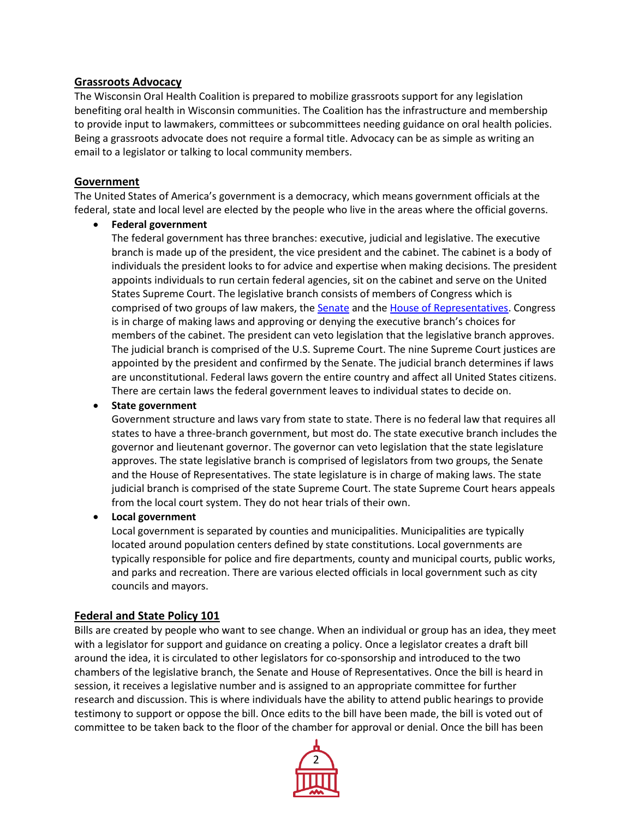## **Grassroots Advocacy**

The Wisconsin Oral Health Coalition is prepared to mobilize grassroots support for any legislation benefiting oral health in Wisconsin communities. The Coalition has the infrastructure and membership to provide input to lawmakers, committees or subcommittees needing guidance on oral health policies. Being a grassroots advocate does not require a formal title. Advocacy can be as simple as writing an email to a legislator or talking to local community members.

### **Government**

The United States of America's government is a democracy, which means government officials at the federal, state and local level are elected by the people who live in the areas where the official governs.

**Federal government**

The federal government has three branches: executive, judicial and legislative. The executive branch is made up of the president, the vice president and the cabinet. The cabinet is a body of individuals the president looks to for advice and expertise when making decisions. The president appoints individuals to run certain federal agencies, sit on the cabinet and serve on the United States Supreme Court. The legislative branch consists of members of Congress which is comprised of two groups of law makers, the [Senate](http://www.senate.gov/states/) and the [House of Representatives.](https://www.house.gov/representatives/find-your-representative) Congress is in charge of making laws and approving or denying the executive branch's choices for members of the cabinet. The president can veto legislation that the legislative branch approves. The judicial branch is comprised of the U.S. Supreme Court. The nine Supreme Court justices are appointed by the president and confirmed by the Senate. The judicial branch determines if laws are unconstitutional. Federal laws govern the entire country and affect all United States citizens. There are certain laws the federal government leaves to individual states to decide on.

### **State government**

Government structure and laws vary from state to state. There is no federal law that requires all states to have a three-branch government, but most do. The state executive branch includes the governor and lieutenant governor. The governor can veto legislation that the state legislature approves. The state legislative branch is comprised of legislators from two groups, the Senate and the House of Representatives. The state legislature is in charge of making laws. The state judicial branch is comprised of the state Supreme Court. The state Supreme Court hears appeals from the local court system. They do not hear trials of their own.

## **Local government**

Local government is separated by counties and municipalities. Municipalities are typically located around population centers defined by state constitutions. Local governments are typically responsible for police and fire departments, county and municipal courts, public works, and parks and recreation. There are various elected officials in local government such as city councils and mayors.

## **Federal and State Policy 101**

Bills are created by people who want to see change. When an individual or group has an idea, they meet with a legislator for support and guidance on creating a policy. Once a legislator creates a draft bill around the idea, it is circulated to other legislators for co-sponsorship and introduced to the two chambers of the legislative branch, the Senate and House of Representatives. Once the bill is heard in session, it receives a legislative number and is assigned to an appropriate committee for further research and discussion. This is where individuals have the ability to attend public hearings to provide testimony to support or oppose the bill. Once edits to the bill have been made, the bill is voted out of committee to be taken back to the floor of the chamber for approval or denial. Once the bill has been

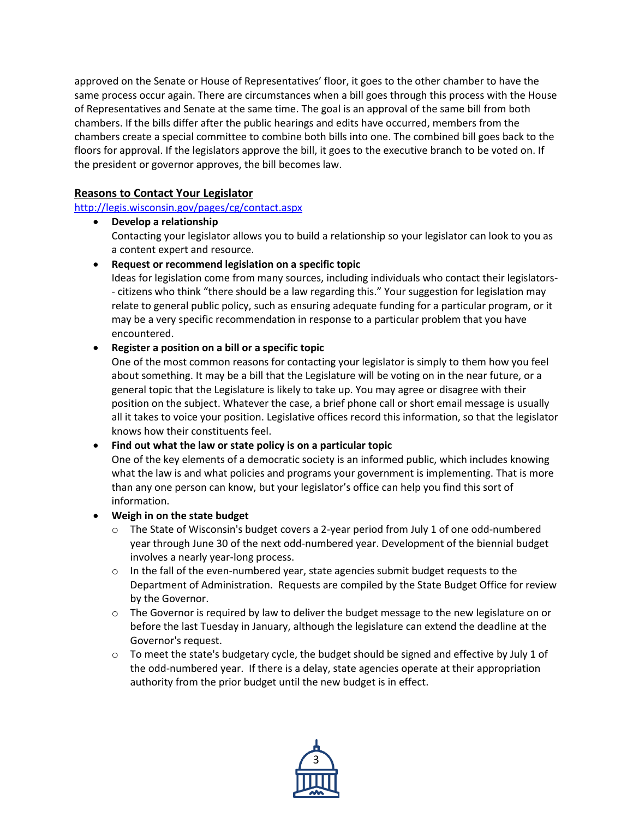approved on the Senate or House of Representatives' floor, it goes to the other chamber to have the same process occur again. There are circumstances when a bill goes through this process with the House of Representatives and Senate at the same time. The goal is an approval of the same bill from both chambers. If the bills differ after the public hearings and edits have occurred, members from the chambers create a special committee to combine both bills into one. The combined bill goes back to the floors for approval. If the legislators approve the bill, it goes to the executive branch to be voted on. If the president or governor approves, the bill becomes law.

# **Reasons to Contact Your Legislator**

<http://legis.wisconsin.gov/pages/cg/contact.aspx>

 **Develop a relationship**  Contacting your legislator allows you to build a relationship so your legislator can look to you as a content expert and resource.

**Request or recommend legislation on a specific topic**

Ideas for legislation come from many sources, including individuals who contact their legislators- - citizens who think "there should be a law regarding this." Your suggestion for legislation may relate to general public policy, such as ensuring adequate funding for a particular program, or it may be a very specific recommendation in response to a particular problem that you have encountered.

#### **Register a position on a bill or a specific topic**

One of the most common reasons for contacting your legislator is simply to them how you feel about something. It may be a bill that the Legislature will be voting on in the near future, or a general topic that the Legislature is likely to take up. You may agree or disagree with their position on the subject. Whatever the case, a brief phone call or short email message is usually all it takes to voice your position. Legislative offices record this information, so that the legislator knows how their constituents feel.

## **Find out what the law or state policy is on a particular topic**

One of the key elements of a democratic society is an informed public, which includes knowing what the law is and what policies and programs your government is implementing. That is more than any one person can know, but your legislator's office can help you find this sort of information.

#### **Weigh in on the state budget**

- $\circ$  The State of Wisconsin's budget covers a 2-year period from July 1 of one odd-numbered year through June 30 of the next odd-numbered year. Development of the biennial budget involves a nearly year-long process.
- $\circ$  In the fall of the even-numbered year, state agencies submit budget requests to the Department of Administration. Requests are compiled by the State Budget Office for review by the Governor.
- o The Governor is required by law to deliver the budget message to the new legislature on or before the last Tuesday in January, although the legislature can extend the deadline at the Governor's request.
- $\circ$  To meet the state's budgetary cycle, the budget should be signed and effective by July 1 of the odd-numbered year. If there is a delay, state agencies operate at their appropriation authority from the prior budget until the new budget is in effect.

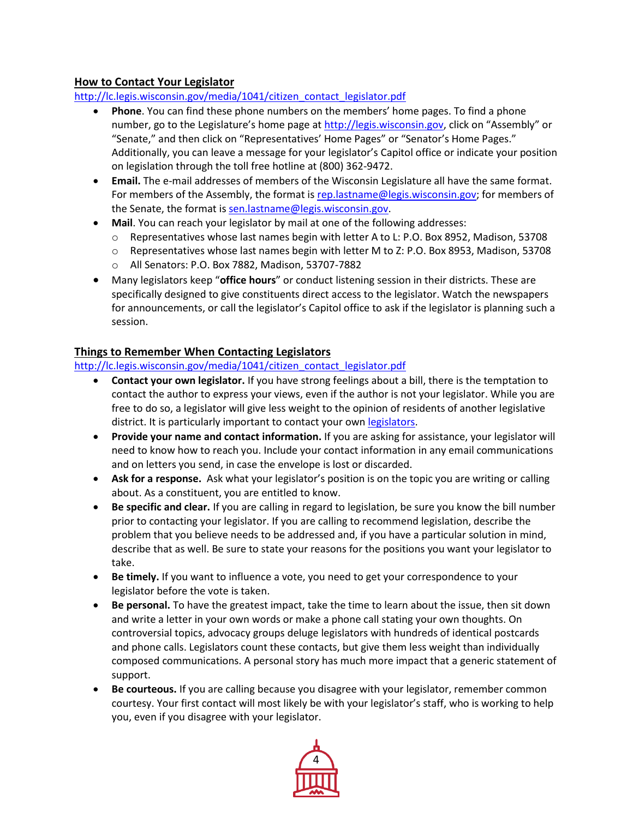## **How to Contact Your Legislator**

[http://lc.legis.wisconsin.gov/media/1041/citizen\\_contact\\_legislator.pdf](http://lc.legis.wisconsin.gov/media/1041/citizen_contact_legislator.pdf)

- **Phone**. You can find these phone numbers on the members' home pages. To find a phone number, go to the Legislature's home page at [http://legis.wisconsin.gov](http://legis.wisconsin.gove/), click on "Assembly" or "Senate," and then click on "Representatives' Home Pages" or "Senator's Home Pages." Additionally, you can leave a message for your legislator's Capitol office or indicate your position on legislation through the toll free hotline at (800) 362-9472.
- **Email.** The e-mail addresses of members of the Wisconsin Legislature all have the same format. For members of the Assembly, the format is [rep.lastname@legis.wisconsin.gov;](mailto:rep.lastname@legis.wisconsin.gov) for members of the Senate, the format is [sen.lastname@legis.wisconsin.gov.](mailto:sen.lastname@legis.wisconsin.gov)
- **Mail**. You can reach your legislator by mail at one of the following addresses:
	- o Representatives whose last names begin with letter A to L: P.O. Box 8952, Madison, 53708
	- o Representatives whose last names begin with letter M to Z: P.O. Box 8953, Madison, 53708
	- o All Senators: P.O. Box 7882, Madison, 53707-7882
- Many legislators keep "**office hours**" or conduct listening session in their districts. These are specifically designed to give constituents direct access to the legislator. Watch the newspapers for announcements, or call the legislator's Capitol office to ask if the legislator is planning such a session.

## **Things to Remember When Contacting Legislators**

#### [http://lc.legis.wisconsin.gov/media/1041/citizen\\_contact\\_legislator.pdf](http://lc.legis.wisconsin.gov/media/1041/citizen_contact_legislator.pdf)

- **Contact your own legislator.** If you have strong feelings about a bill, there is the temptation to contact the author to express your views, even if the author is not your legislator. While you are free to do so, a legislator will give less weight to the opinion of residents of another legislative district. It is particularly important to contact your own [legislators.](http://maps.legis.wisconsin.gov/?single=y&lat=&lon=&address)
- **Provide your name and contact information.** If you are asking for assistance, your legislator will need to know how to reach you. Include your contact information in any email communications and on letters you send, in case the envelope is lost or discarded.
- **Ask for a response.** Ask what your legislator's position is on the topic you are writing or calling about. As a constituent, you are entitled to know.
- **Be specific and clear.** If you are calling in regard to legislation, be sure you know the bill number prior to contacting your legislator. If you are calling to recommend legislation, describe the problem that you believe needs to be addressed and, if you have a particular solution in mind, describe that as well. Be sure to state your reasons for the positions you want your legislator to take.
- **Be timely.** If you want to influence a vote, you need to get your correspondence to your legislator before the vote is taken.
- **Be personal.** To have the greatest impact, take the time to learn about the issue, then sit down and write a letter in your own words or make a phone call stating your own thoughts. On controversial topics, advocacy groups deluge legislators with hundreds of identical postcards and phone calls. Legislators count these contacts, but give them less weight than individually composed communications. A personal story has much more impact that a generic statement of support.
- **Be courteous.** If you are calling because you disagree with your legislator, remember common courtesy. Your first contact will most likely be with your legislator's staff, who is working to help you, even if you disagree with your legislator.

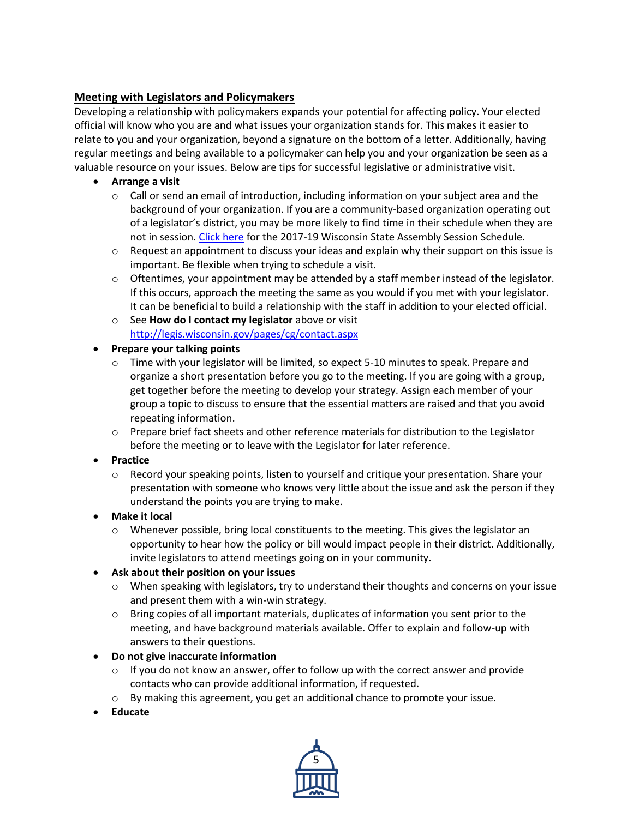# **Meeting with Legislators and Policymakers**

Developing a relationship with policymakers expands your potential for affecting policy. Your elected official will know who you are and what issues your organization stands for. This makes it easier to relate to you and your organization, beyond a signature on the bottom of a letter. Additionally, having regular meetings and being available to a policymaker can help you and your organization be seen as a valuable resource on your issues. Below are tips for successful legislative or administrative visit.

- **Arrange a visit**
	- $\circ$  Call or send an email of introduction, including information on your subject area and the background of your organization. If you are a community-based organization operating out of a legislator's district, you may be more likely to find time in their schedule when they are not in session. [Click here](http://docs.legis.wisconsin.gov/2017/related/session_calendar/calendar) for the 2017-19 Wisconsin State Assembly Session Schedule.
	- $\circ$  Request an appointment to discuss your ideas and explain why their support on this issue is important. Be flexible when trying to schedule a visit.
	- $\circ$  Oftentimes, your appointment may be attended by a staff member instead of the legislator. If this occurs, approach the meeting the same as you would if you met with your legislator. It can be beneficial to build a relationship with the staff in addition to your elected official.
	- o See **How do I contact my legislator** above or visit <http://legis.wisconsin.gov/pages/cg/contact.aspx>
- **Prepare your talking points**
	- o Time with your legislator will be limited, so expect 5-10 minutes to speak. Prepare and organize a short presentation before you go to the meeting. If you are going with a group, get together before the meeting to develop your strategy. Assign each member of your group a topic to discuss to ensure that the essential matters are raised and that you avoid repeating information.
	- $\circ$  Prepare brief fact sheets and other reference materials for distribution to the Legislator before the meeting or to leave with the Legislator for later reference.
- **Practice**
	- $\circ$  Record your speaking points, listen to yourself and critique your presentation. Share your presentation with someone who knows very little about the issue and ask the person if they understand the points you are trying to make.
- **Make it local**
	- $\circ$  Whenever possible, bring local constituents to the meeting. This gives the legislator an opportunity to hear how the policy or bill would impact people in their district. Additionally, invite legislators to attend meetings going on in your community.
- **Ask about their position on your issues**
	- $\circ$  When speaking with legislators, try to understand their thoughts and concerns on your issue and present them with a win-win strategy.
	- $\circ$  Bring copies of all important materials, duplicates of information you sent prior to the meeting, and have background materials available. Offer to explain and follow-up with answers to their questions.
- **Do not give inaccurate information**
	- $\circ$  If you do not know an answer, offer to follow up with the correct answer and provide contacts who can provide additional information, if requested.
	- o By making this agreement, you get an additional chance to promote your issue.
- **Educate**

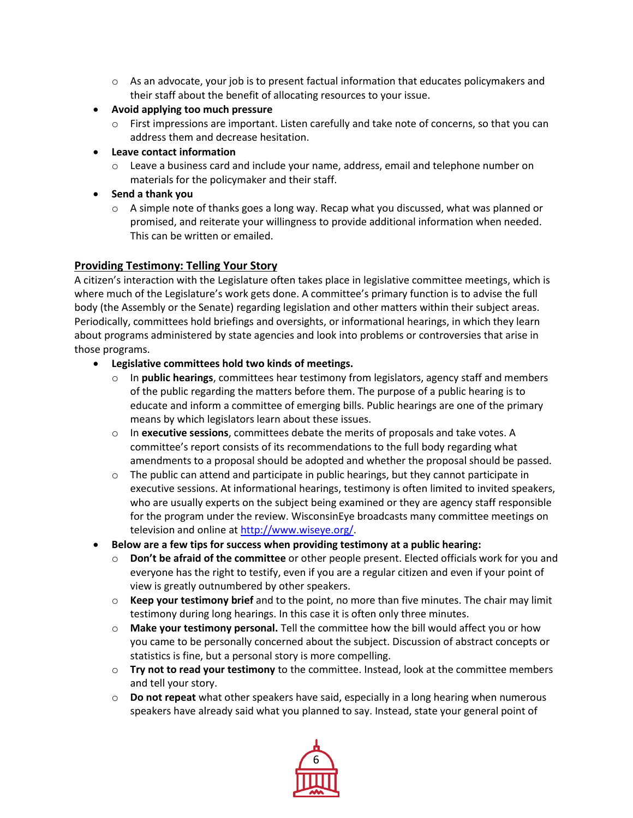- $\circ$  As an advocate, your job is to present factual information that educates policymakers and their staff about the benefit of allocating resources to your issue.
- **Avoid applying too much pressure**
	- $\circ$  First impressions are important. Listen carefully and take note of concerns, so that you can address them and decrease hesitation.
- **Leave contact information**
	- $\circ$  Leave a business card and include your name, address, email and telephone number on materials for the policymaker and their staff.
- **Send a thank you**
	- $\circ$  A simple note of thanks goes a long way. Recap what you discussed, what was planned or promised, and reiterate your willingness to provide additional information when needed. This can be written or emailed.

#### **Providing Testimony: Telling Your Story**

A citizen's interaction with the Legislature often takes place in legislative committee meetings, which is where much of the Legislature's work gets done. A committee's primary function is to advise the full body (the Assembly or the Senate) regarding legislation and other matters within their subject areas. Periodically, committees hold briefings and oversights, or informational hearings, in which they learn about programs administered by state agencies and look into problems or controversies that arise in those programs.

- **Legislative committees hold two kinds of meetings.**
	- o In **public hearings**, committees hear testimony from legislators, agency staff and members of the public regarding the matters before them. The purpose of a public hearing is to educate and inform a committee of emerging bills. Public hearings are one of the primary means by which legislators learn about these issues.
	- o In **executive sessions**, committees debate the merits of proposals and take votes. A committee's report consists of its recommendations to the full body regarding what amendments to a proposal should be adopted and whether the proposal should be passed.
	- $\circ$  The public can attend and participate in public hearings, but they cannot participate in executive sessions. At informational hearings, testimony is often limited to invited speakers, who are usually experts on the subject being examined or they are agency staff responsible for the program under the review. WisconsinEye broadcasts many committee meetings on television and online a[t http://www.wiseye.org/.](http://www.wiseye.org/)
- **Below are a few tips for success when providing testimony at a public hearing:**
	- o **Don't be afraid of the committee** or other people present. Elected officials work for you and everyone has the right to testify, even if you are a regular citizen and even if your point of view is greatly outnumbered by other speakers.
	- o **Keep your testimony brief** and to the point, no more than five minutes. The chair may limit testimony during long hearings. In this case it is often only three minutes.
	- o **Make your testimony personal.** Tell the committee how the bill would affect you or how you came to be personally concerned about the subject. Discussion of abstract concepts or statistics is fine, but a personal story is more compelling.
	- o **Try not to read your testimony** to the committee. Instead, look at the committee members and tell your story.
	- o **Do not repeat** what other speakers have said, especially in a long hearing when numerous speakers have already said what you planned to say. Instead, state your general point of

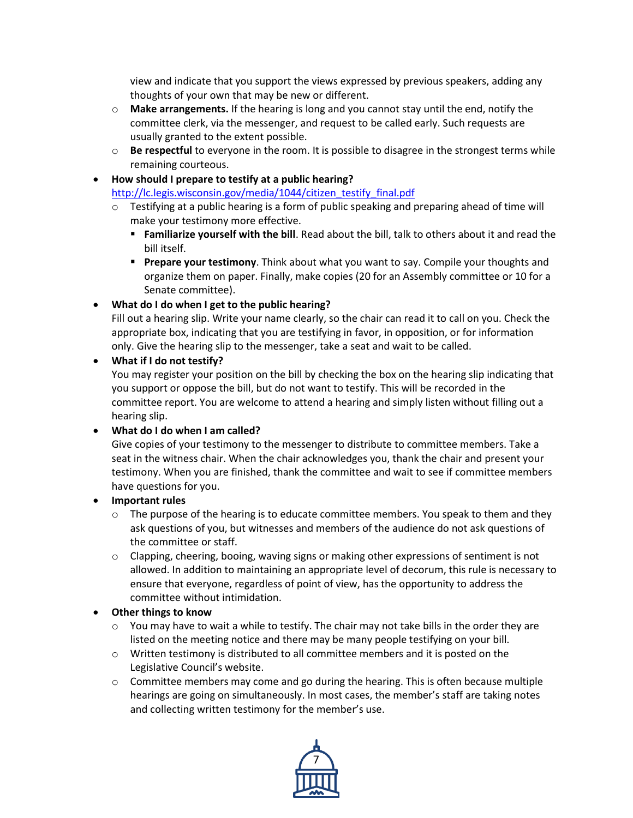view and indicate that you support the views expressed by previous speakers, adding any thoughts of your own that may be new or different.

- o **Make arrangements.** If the hearing is long and you cannot stay until the end, notify the committee clerk, via the messenger, and request to be called early. Such requests are usually granted to the extent possible.
- o **Be respectful** to everyone in the room. It is possible to disagree in the strongest terms while remaining courteous.

## **How should I prepare to testify at a public hearing?**

[http://lc.legis.wisconsin.gov/media/1044/citizen\\_testify\\_final.pdf](http://lc.legis.wisconsin.gov/media/1044/citizen_testify_final.pdf)

- $\circ$  Testifying at a public hearing is a form of public speaking and preparing ahead of time will make your testimony more effective.
	- **Familiarize yourself with the bill**. Read about the bill, talk to others about it and read the bill itself.
	- **Prepare your testimony**. Think about what you want to say. Compile your thoughts and organize them on paper. Finally, make copies (20 for an Assembly committee or 10 for a Senate committee).

## **What do I do when I get to the public hearing?**

Fill out a hearing slip. Write your name clearly, so the chair can read it to call on you. Check the appropriate box, indicating that you are testifying in favor, in opposition, or for information only. Give the hearing slip to the messenger, take a seat and wait to be called.

#### **What if I do not testify?**

You may register your position on the bill by checking the box on the hearing slip indicating that you support or oppose the bill, but do not want to testify. This will be recorded in the committee report. You are welcome to attend a hearing and simply listen without filling out a hearing slip.

## **What do I do when I am called?**

Give copies of your testimony to the messenger to distribute to committee members. Take a seat in the witness chair. When the chair acknowledges you, thank the chair and present your testimony. When you are finished, thank the committee and wait to see if committee members have questions for you.

## **Important rules**

- $\circ$  The purpose of the hearing is to educate committee members. You speak to them and they ask questions of you, but witnesses and members of the audience do not ask questions of the committee or staff.
- $\circ$  Clapping, cheering, booing, waving signs or making other expressions of sentiment is not allowed. In addition to maintaining an appropriate level of decorum, this rule is necessary to ensure that everyone, regardless of point of view, has the opportunity to address the committee without intimidation.

## **Other things to know**

- $\circ$  You may have to wait a while to testify. The chair may not take bills in the order they are listed on the meeting notice and there may be many people testifying on your bill.
- $\circ$  Written testimony is distributed to all committee members and it is posted on the Legislative Council's website.
- $\circ$  Committee members may come and go during the hearing. This is often because multiple hearings are going on simultaneously. In most cases, the member's staff are taking notes and collecting written testimony for the member's use.